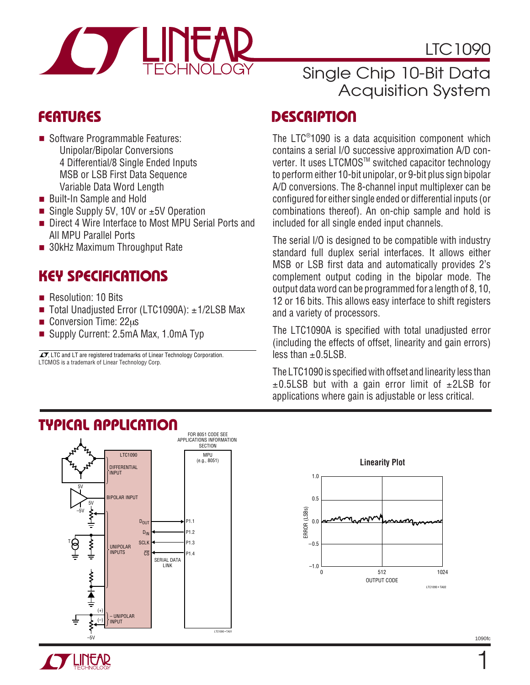### LTC1090



### Single Chip 10-Bit Data Acquisition System

- Software Programmable Features: Unipolar/Bipolar Conversions 4 Differential/8 Single Ended Inputs MSB or LSB First Data Sequence Variable Data Word Length
- Built-In Sample and Hold
- Single Supply 5V, 10V or  $±5V$  Operation
- Direct 4 Wire Interface to Most MPU Serial Ports and All MPU Parallel Ports
- 30kHz Maximum Throughput Rate

### **KEY SPECIFICATIONS**

- Resolution: 10 Bits
- Total Unadjusted Error (LTC1090A): ±1/2LSB Max
- Conversion Time:  $22\mu s$
- Supply Current: 2.5mA Max, 1.0mA Typ

LTCMOS is a trademark of Linear Technology Corp.  $\sqrt{J}$ , LTC and LT are registered trademarks of Linear Technology Corporation.

# **FEATURES DESCRIPTIO U**

The LTC® 1090 is a data acquisition component which contains a serial I/O successive approximation A/D converter. It uses LTCMOS™ switched capacitor technology to perform either 10-bit unipolar, or 9-bit plus sign bipolar A/D conversions. The 8-channel input multiplexer can be configured for either single ended or differential inputs (or combinations thereof). An on-chip sample and hold is included for all single ended input channels.

The serial I/O is designed to be compatible with industry standard full duplex serial interfaces. It allows either MSB or LSB first data and automatically provides 2's complement output coding in the bipolar mode. The output data word can be programmed for a length of 8, 10, 12 or 16 bits. This allows easy interface to shift registers and a variety of processors.

The LTC1090A is specified with total unadjusted error (including the effects of offset, linearity and gain errors)  $\overline{\text{less than +0.5}}$  SB.

The LTC1090 is specified with offset and linearity less than  $\pm$ 0.5LSB but with a gain error limit of  $\pm$ 2LSB for applications where gain is adjustable or less critical.





### **TYPICAL APPLICATIO U**



1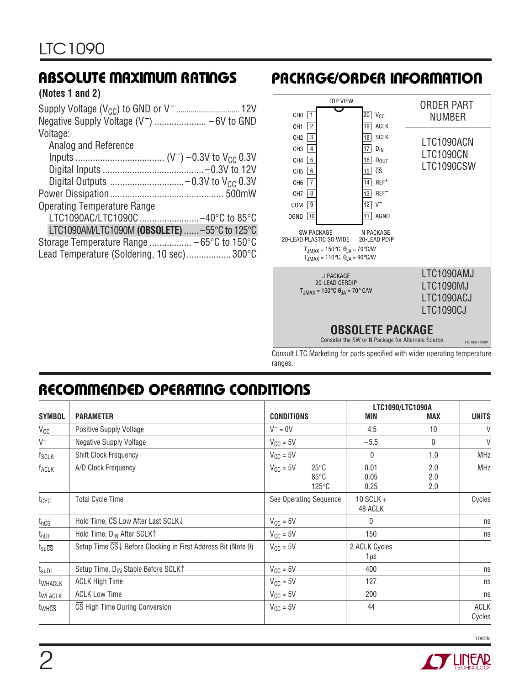# **ABSOLUTE MAXIMUM RATINGS**

#### **(Notes 1 and 2)**

| Voltage:                                      |
|-----------------------------------------------|
| Analog and Reference                          |
|                                               |
|                                               |
|                                               |
|                                               |
| <b>Operating Temperature Range</b>            |
| LTC1090AC/LTC1090C -40°C to 85°C              |
| LTC1090AM/LTC1090M (OBSOLETE)  -55°C to 125°C |
|                                               |
| Lead Temperature (Soldering, 10 sec) 300°C    |

# **PACKAGE/ORDER INFORMATION**



Consult LTC Marketing for parts specified with wider operating temperature ranges.

### **RECOMMENDED OPERATING CONDITIONS**

|                                                    |                                                              |                                                                             |                        | LTC1090/LTC1090A  |                       |
|----------------------------------------------------|--------------------------------------------------------------|-----------------------------------------------------------------------------|------------------------|-------------------|-----------------------|
| <b>SYMBOL</b>                                      | <b>PARAMETER</b>                                             | <b>CONDITIONS</b>                                                           | MIN                    | <b>MAX</b>        | <b>UNITS</b>          |
| $V_{CC}$                                           | Positive Supply Voltage                                      | $V^- = 0V$                                                                  | 4.5                    | 10                | V                     |
| $V^-$                                              | <b>Negative Supply Voltage</b>                               | $V_{CC} = 5V$                                                               | $-5.5$                 | 0                 | $\vee$                |
| f <sub>SCLK</sub>                                  | Shift Clock Frequency                                        | $V_{CC} = 5V$                                                               | $\mathbf{0}$           | 1.0               | <b>MHz</b>            |
| <b>TACLK</b>                                       | A/D Clock Frequency                                          | $V_{\text{CC}} = 5V$<br>$25^{\circ}$ C<br>$85^{\circ}$ C<br>$125^{\circ}$ C | 0.01<br>0.05<br>0.25   | 2.0<br>2.0<br>2.0 | <b>MHz</b>            |
| $t_{\text{CYC}}$                                   | <b>Total Cycle Time</b>                                      | See Operating Sequence                                                      | 10 SCLK $+$<br>48 ACLK |                   | Cycles                |
| $t_{h\overline{CS}}$                               | Hold Time, CS Low After Last SCLK↓                           | $V_{\text{CC}} = 5V$                                                        | $\Omega$               |                   | ns                    |
| $t_{hDI}$                                          | Hold Time, D <sub>IN</sub> After SCLK <sup>1</sup>           | $V_{CC} = 5V$                                                               | 150                    |                   | ns                    |
| $t_{\text{su}\overline{\text{CS}}}$                | Setup Time CS↓ Before Clocking in First Address Bit (Note 9) | $V_{CC} = 5V$                                                               | 2 ACLK Cycles<br>1 us  |                   |                       |
| $t_{\scriptstyle\text{S}\text{U}\text{D}\text{I}}$ | Setup Time, D <sub>IN</sub> Stable Before SCLK <sup>1</sup>  | $V_{CC} = 5V$                                                               | 400                    |                   | ns                    |
| t <sub>WHACLK</sub>                                | <b>ACLK High Time</b>                                        | $V_{CC} = 5V$                                                               | 127                    |                   | ns                    |
| t <sub>WLACLK</sub>                                | <b>ACLK Low Time</b>                                         | $V_{\text{CC}} = 5V$                                                        | 200                    |                   | ns                    |
| $t_{WH\overline{\text{CS}}}$                       | CS High Time During Conversion                               | $V_{CC} = 5V$                                                               | 44                     |                   | <b>ACLK</b><br>Cycles |

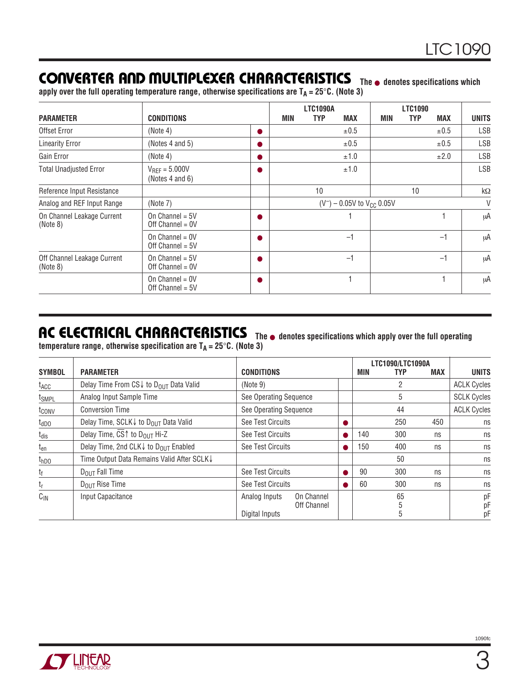### **CONVERTER AND MULTIPLEXER CHARACTERISTICS** The **•** denotes specifications which

**apply over the full operating temperature range, otherwise specifications are TA = 25**°**C. (Note 3)**

| <b>PARAMETER</b>                        | <b>CONDITIONS</b>                       |           | MIN                               | <b>LTC1090A</b><br><b>TYP</b> | <b>MAX</b> | MIN | <b>LTC1090</b><br><b>TYP</b> | <b>MAX</b> | <b>UNITS</b> |
|-----------------------------------------|-----------------------------------------|-----------|-----------------------------------|-------------------------------|------------|-----|------------------------------|------------|--------------|
| Offset Error                            | (Note 4)                                | ●         |                                   |                               | ±0.5       |     |                              | ±0.5       | LSB          |
| <b>Linearity Error</b>                  | (Notes 4 and 5)                         | ●         |                                   |                               | ±0.5       |     |                              | ±0.5       | <b>LSB</b>   |
| Gain Error                              | (Note 4)                                | O         |                                   |                               | ±1.0       |     |                              | ±2.0       | <b>LSB</b>   |
| <b>Total Unadjusted Error</b>           | $V_{RFF} = 5.000V$<br>(Notes 4 and 6)   | Q         |                                   |                               | ±1.0       |     |                              |            | LSB          |
| Reference Input Resistance              |                                         |           |                                   | 10                            |            |     | 10                           |            | $k\Omega$    |
| Analog and REF Input Range              | (Note 7)                                |           | $(V^-)$ – 0.05V to $V_{CC}$ 0.05V |                               |            |     | V                            |            |              |
| On Channel Leakage Current<br>(Note 8)  | On Channel = $5V$<br>Off Channel = $0V$ | $\bullet$ |                                   |                               |            |     |                              |            | μA           |
|                                         | On Channel = $0V$<br>Off Channel = $5V$ | 0         |                                   |                               | $-1$       |     |                              | $-1$       | μA           |
| Off Channel Leakage Current<br>(Note 8) | On Channel = $5V$<br>Off Channel = $0V$ | 0         |                                   |                               | $-1$       |     |                              | $-1$       | μA           |
|                                         | On Channel = $0V$<br>Off Channel = $5V$ | ●         |                                   |                               |            |     |                              |            | μA           |

### **AC ELECTRICAL CHARACTERISTICS**

**The** ● **denotes specifications which apply over the full operating**

|  |  | temperature range, otherwise specification are T $_{\mathsf{A}}$ = 25°C. (Note 3) |
|--|--|-----------------------------------------------------------------------------------|
|--|--|-----------------------------------------------------------------------------------|

| <b>SYMBOL</b>      | <b>PARAMETER</b>                                     | <b>CONDITIONS</b>                                                   |   | MIN | LTC1090/LTC1090A<br>TYP | <b>MAX</b> | <b>UNITS</b>       |
|--------------------|------------------------------------------------------|---------------------------------------------------------------------|---|-----|-------------------------|------------|--------------------|
| $t_{\mathsf{ACC}}$ | Delay Time From CS↓ to D <sub>OUT</sub> Data Valid   | (Note 9)                                                            |   |     | 2                       |            | <b>ACLK Cycles</b> |
| t <sub>SMPL</sub>  | Analog Input Sample Time                             | See Operating Sequence                                              |   |     | 5                       |            | <b>SCLK Cycles</b> |
| t <sub>conv</sub>  | <b>Conversion Time</b>                               | See Operating Sequence                                              |   |     | 44                      |            | <b>ACLK Cycles</b> |
| $t_{dDO}$          | Delay Time, SCLK↓ to D <sub>OUT</sub> Data Valid     | See Test Circuits                                                   |   |     | 250                     | 450        | ns                 |
| $t_{dis}$          | Delay Time, CS <sup>↑</sup> to D <sub>OUT</sub> Hi-Z | See Test Circuits                                                   |   | 140 | 300                     | ns         | ns                 |
| $t_{en}$           | Delay Time, 2nd CLK↓ to D <sub>OUT</sub> Enabled     | See Test Circuits                                                   | 0 | 150 | 400                     | ns         | ns                 |
| t <sub>hDO</sub>   | Time Output Data Remains Valid After SCLK↓           |                                                                     |   |     | 50                      |            | ns                 |
| t <sub>f</sub>     | $D_{OIII}$ Fall Time                                 | See Test Circuits                                                   |   | 90  | 300                     | ns         | ns                 |
| $t_{r}$            | $D_{OIII}$ Rise Time                                 | See Test Circuits                                                   |   | 60  | 300                     | ns         | ns                 |
| $C_{IN}$           | Input Capacitance                                    | On Channel<br>Analog Inputs<br><b>Off Channel</b><br>Digital Inputs |   |     | 65<br>5                 |            | рF<br>рF<br>рF     |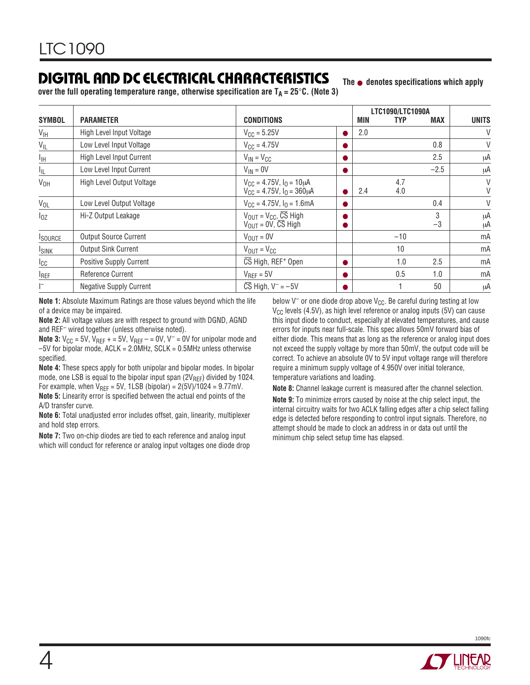### **DIGITAL A D DC ELECTRICAL CHARACTERISTICS U**

**The** ● **denotes specifications which apply**

**over the full operating temperature range, otherwise specification are**  $T_A = 25^\circ \text{C}$ **. (Note 3)** 

|                 |                                 |                                                                             |           |            | LTC1090/LTC1090A |            |              |
|-----------------|---------------------------------|-----------------------------------------------------------------------------|-----------|------------|------------------|------------|--------------|
| <b>SYMBOL</b>   | <b>PARAMETER</b>                | <b>CONDITIONS</b>                                                           |           | <b>MIN</b> | <b>TYP</b>       | <b>MAX</b> | <b>UNITS</b> |
| V <sub>IH</sub> | High Level Input Voltage        | $V_{\text{CC}} = 5.25V$                                                     | $\bullet$ | 2.0        |                  |            | V            |
| $V_{IL}$        | Low Level Input Voltage         | $V_{\text{CC}} = 4.75V$                                                     |           |            |                  | 0.8        | V            |
| $\frac{1}{1}$   | <b>High Level Input Current</b> | $V_{IN} = V_{CC}$                                                           |           |            |                  | 2.5        | μA           |
| ΙL              | Low Level Input Current         | $V_{IN} = 0V$                                                               |           |            |                  | $-2.5$     | μA           |
| V <sub>OH</sub> | High Level Output Voltage       | $V_{CC} = 4.75V$ , $I_0 = 10 \mu A$<br>$V_{CC} = 4.75V$ , $I_0 = 360 \mu A$ |           | 2.4        | 4.7<br>4.0       |            | V<br>V       |
| $V_{OL}$        | Low Level Output Voltage        | $V_{CC} = 4.75V$ , $I_0 = 1.6mA$                                            |           |            |                  | 0.4        | V            |
| $I_{OZ}$        | Hi-Z Output Leakage             | $V_{OUT} = V_{CC}$ , $\overline{CS}$ High<br>$V_{OUIT} = 0V$ , CS High      |           |            |                  | 3<br>$-3$  | μA<br>μA     |
| <b>I</b> SOURCE | <b>Output Source Current</b>    | $V_{OUT} = 0V$                                                              |           |            | $-10$            |            | mA           |
| <b>ISINK</b>    | <b>Output Sink Current</b>      | $V_{\text{OUT}} = V_{\text{CC}}$                                            |           |            | 10               |            | mA           |
| $I_{\rm CC}$    | Positive Supply Current         | CS High, REF <sup>+</sup> Open                                              | Œ         |            | 1.0              | 2.5        | mA           |
| $I_{REF}$       | Reference Current               | $V_{RFF} = 5V$                                                              |           |            | 0.5              | 1.0        | mA           |
| $\mathsf{I}^-$  | <b>Negative Supply Current</b>  | $\overline{\text{CS}}$ High, $V^-$ = $-5V$                                  |           |            |                  | 50         | μA           |

**Note 1:** Absolute Maximum Ratings are those values beyond which the life of a device may be impaired.

**Note 2:** All voltage values are with respect to ground with DGND, AGND and REF– wired together (unless otherwise noted).

**Note 3:**  $V_{CC}$  = 5V,  $V_{REF}$  + = 5V,  $V_{REF}$  – = 0V,  $V^-$  = 0V for unipolar mode and –5V for bipolar mode, ACLK = 2.0MHz, SCLK = 0.5MHz unless otherwise specified.

**Note 4:** These specs apply for both unipolar and bipolar modes. In bipolar mode, one LSB is equal to the bipolar input span  $(2V_{REF})$  divided by 1024. For example, when  $V_{REF} = 5V$ , 1LSB (bipolar) =  $2(5V)/1024 = 9.77mV$ .

**Note 5:** Linearity error is specified between the actual end points of the A/D transfer curve.

**Note 6:** Total unadjusted error includes offset, gain, linearity, multiplexer and hold step errors.

**Note 7:** Two on-chip diodes are tied to each reference and analog input which will conduct for reference or analog input voltages one diode drop below  $V^-$  or one diode drop above  $V_{CC}$ . Be careful during testing at low  $V_{CC}$  levels (4.5V), as high level reference or analog inputs (5V) can cause this input diode to conduct, especially at elevated temperatures, and cause errors for inputs near full-scale. This spec allows 50mV forward bias of either diode. This means that as long as the reference or analog input does not exceed the supply voltage by more than 50mV, the output code will be correct. To achieve an absolute 0V to 5V input voltage range will therefore require a minimum supply voltage of 4.950V over initial tolerance, temperature variations and loading.

**Note 8:** Channel leakage current is measured after the channel selection. **Note 9:** To minimize errors caused by noise at the chip select input, the internal circuitry waits for two ACLK falling edges after a chip select falling edge is detected before responding to control input signals. Therefore, no attempt should be made to clock an address in or data out until the minimum chip select setup time has elapsed.

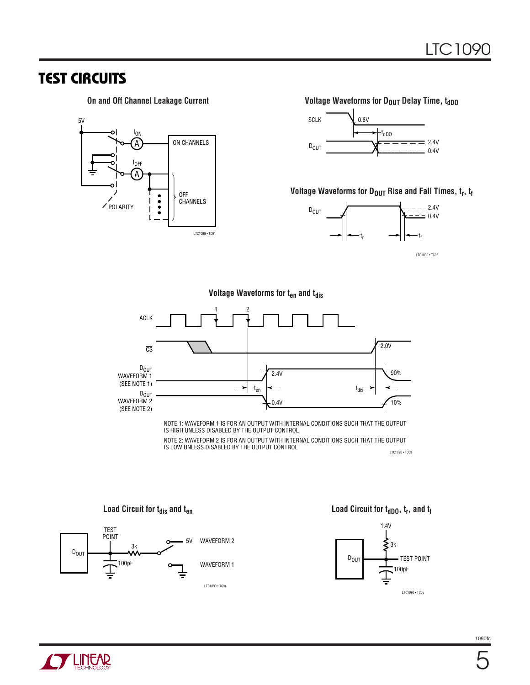### **TEST CIRCUITS**



#### On and Off Channel Leakage Current **Voltage Waveforms for D<sub>OUT</sub> Delay Time**, t<sub>dDO</sub>



### Voltage Waveforms for D<sub>OUT</sub> Rise and Fall Times,  $t_r$ ,  $t_f$



LTC1090 • TC02

#### **Voltage Waveforms for t<sub>en</sub> and t<sub>dis</sub>**



NOTE 1: WAVEFORM 1 IS FOR AN OUTPUT WITH INTERNAL CONDITIONS SUCH THAT THE OUTPUT IS HIGH UNLESS DISABLED BY THE OUTPUT CONTROL

NOTE 2: WAVEFORM 2 IS FOR AN OUTPUT WITH INTERNAL CONDITIONS SUCH THAT THE OUTPUT IS LOW UNLESS DISABLED BY THE OUTPUT CONTROL LTC1090 • TC03



Load Circuit for t<sub>dis</sub> and t<sub>en</sub> *Load Circuit for t<sub>dDO</sub>*, t<sub>r</sub>, and t<sub>f</sub>



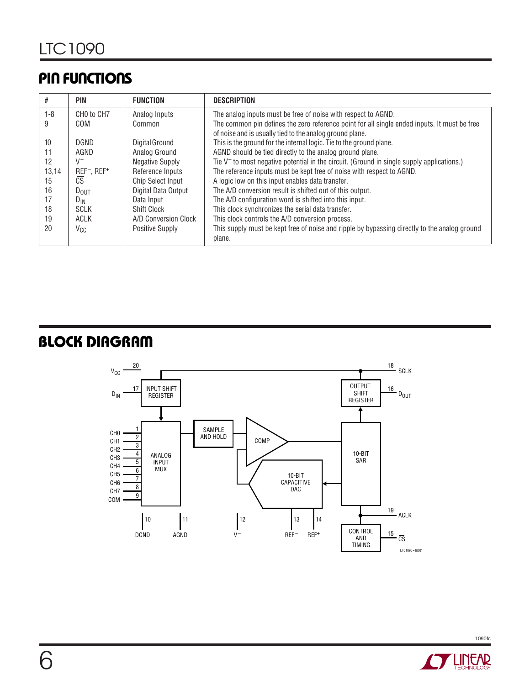# **PIN FUNCTIONS**

|         | PIN                                 | <b>FUNCTION</b>          | <b>DESCRIPTION</b>                                                                           |
|---------|-------------------------------------|--------------------------|----------------------------------------------------------------------------------------------|
| $1 - 8$ | CHO to CH7                          | Analog Inputs            | The analog inputs must be free of noise with respect to AGND.                                |
| 9       | COM                                 | Common                   | The common pin defines the zero reference point for all single ended inputs. It must be free |
|         |                                     |                          | of noise and is usually tied to the analog ground plane.                                     |
| 10      | <b>DGND</b>                         | Digital Ground           | This is the ground for the internal logic. Tie to the ground plane.                          |
| 11      | AGND                                | Analog Ground            | AGND should be tied directly to the analog ground plane.                                     |
| 12      | $V^-$                               | <b>Negative Supply</b>   | Tie $V^-$ to most negative potential in the circuit. (Ground in single supply applications.) |
| 13,14   | REF <sup>-</sup> , REF <sup>+</sup> | Reference Inputs         | The reference inputs must be kept free of noise with respect to AGND.                        |
| 15      | $c\overline{s}$                     | <b>Chip Select Input</b> | A logic low on this input enables data transfer.                                             |
| 16      | $D_{OUT}$                           | Digital Data Output      | The A/D conversion result is shifted out of this output.                                     |
| 17      | $D_{IN}$                            | Data Input               | The A/D configuration word is shifted into this input.                                       |
| 18      | <b>SCLK</b>                         | <b>Shift Clock</b>       | This clock synchronizes the serial data transfer.                                            |
| 19      | ACLK                                | A/D Conversion Clock     | This clock controls the A/D conversion process.                                              |
| 20      | $V_{CC}$                            | Positive Supply          | This supply must be kept free of noise and ripple by bypassing directly to the analog ground |
|         |                                     |                          | plane.                                                                                       |

# **BLOCK DIAGRAM**



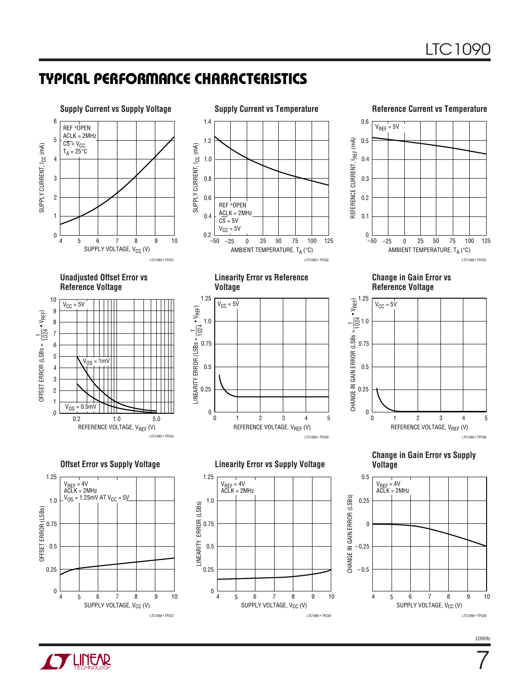### **TYPICAL PERFORMANCE CHARACTERISTICS**





7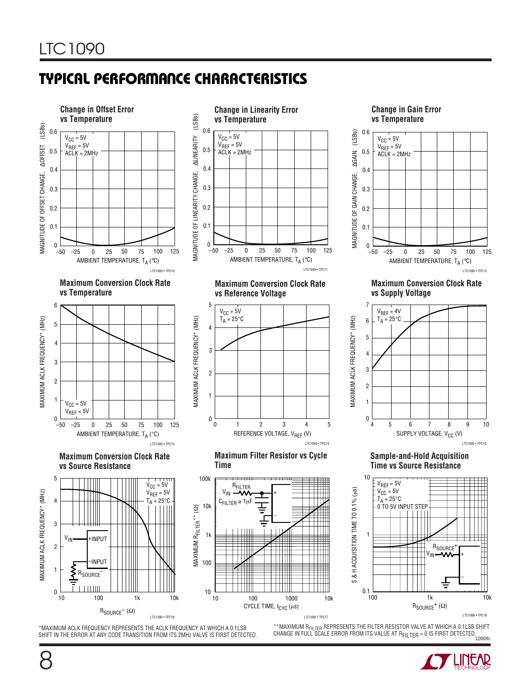# **TYPICAL PERFORMANCE CHARACTERISTICS**



\*MAXIMUM ACLK FREQUENCY REPRESENTS THE ACLK FREQUENCY AT WHICH A 0.1LSB SHIFT IN THE ERROR AT ANY CODE TRANSITION FROM ITS 2MHz VALVE IS FIRST DETECTED.

.<br>1090fc \*\*MAXIMUM RFILTER REPRESENTS THE FILTER RESISTOR VALVE AT WHICH A 0.1LSB SHIFT CHANGE IN FULL SCALE ERROR FROM ITS VALUE AT RFILTER = 0 IS FIRST DETECTED.



8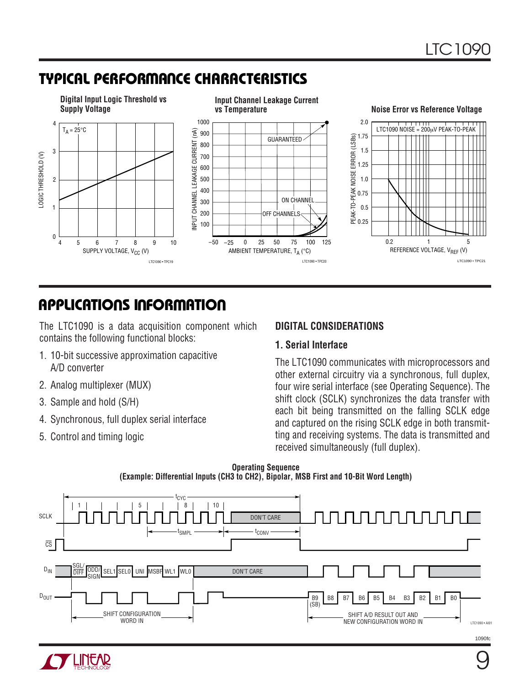# **TYPICAL PERFORMANCE CHARACTERISTICS**



# **APPLICATIONS INFORMATION**

The LTC1090 is a data acquisition component which contains the following functional blocks:

- 1. 10-bit successive approximation capacitive A/D converter
- 2. Analog multiplexer (MUX)
- 3. Sample and hold (S/H)
- 4. Synchronous, full duplex serial interface
- 5. Control and timing logic

### **DIGITAL CONSIDERATIONS**

#### **1. Serial Interface**

The LTC1090 communicates with microprocessors and other external circuitry via a synchronous, full duplex, four wire serial interface (see Operating Sequence). The shift clock (SCLK) synchronizes the data transfer with each bit being transmitted on the falling SCLK edge and captured on the rising SCLK edge in both transmitting and receiving systems. The data is transmitted and received simultaneously (full duplex).





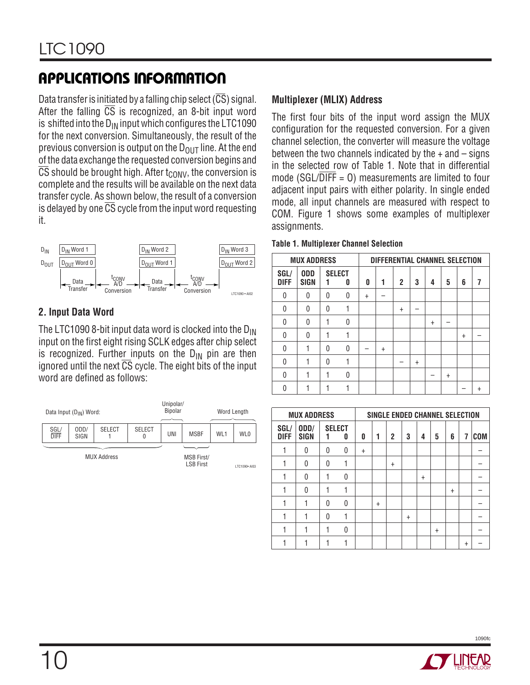Data transfer is initiated by a falling chip select  $(\overline{CS})$  signal. After the falling  $\overline{CS}$  is recognized, an 8-bit input word is shifted into the  $D_{IN}$  input which configures the LTC1090 for the next conversion. Simultaneously, the result of the previous conversion is output on the  $D_{OUT}$  line. At the end of the data exchange the requested conversion begins and CS should be brought high. After  $t_{\text{CONV}}$ , the conversion is complete and the results will be available on the next data transfer cycle. As shown below, the result of a conversion is delayed by one  $\overline{\text{CS}}$  cycle from the input word requesting it.



### **2. Input Data Word**

The LTC1090 8-bit input data word is clocked into the  $D_{IN}$ input on the first eight rising SCLK edges after chip select is recognized. Further inputs on the  $D_{IN}$  pin are then ignored until the next  $\overline{\text{CS}}$  cycle. The eight bits of the input word are defined as follows:



### **Multiplexer (MLIX) Address**

The first four bits of the input word assign the MUX configuration for the requested conversion. For a given channel selection, the converter will measure the voltage between the two channels indicated by the  $+$  and  $-$  signs in the selected row of Table 1. Note that in differential mode (SGL/ $\overline{DIF}$  = 0) measurements are limited to four adjacent input pairs with either polarity. In single ended mode, all input channels are measured with respect to COM. Figure 1 shows some examples of multiplexer assignments.

#### **Table 1. Multiplexer Channel Selection**

|                     | <b>MUX ADDRESS</b> |   |                    |        | DIFFERENTIAL CHANNEL SELECTION |                |           |           |           |           |           |
|---------------------|--------------------|---|--------------------|--------|--------------------------------|----------------|-----------|-----------|-----------|-----------|-----------|
| SGL/<br><b>DIFF</b> | <b>ODD</b><br>SIGN |   | <b>SELECT</b><br>0 | 0      | 1                              | $\overline{c}$ | 3         | 4         | 5         | 6         | 7         |
| 0                   | 0                  | 0 | 0                  | $^{+}$ |                                |                |           |           |           |           |           |
| 0                   | 0                  | O |                    |        |                                | $\ddot{}$      |           |           |           |           |           |
| 0                   | 0                  |   | 0                  |        |                                |                |           | $\ddot{}$ |           |           |           |
| $\Omega$            | 0                  |   |                    |        |                                |                |           |           |           | $\ddot{}$ |           |
| 0                   |                    | O | 0                  |        | $\ddot{}$                      |                |           |           |           |           |           |
| 0                   |                    | O |                    |        |                                |                | $\ddot{}$ |           |           |           |           |
| $\Omega$            |                    |   | 0                  |        |                                |                |           |           | $\ddot{}$ |           |           |
| O                   |                    |   |                    |        |                                |                |           |           |           |           | $\ddot{}$ |

|                     | <b>MUX ADDRESS</b>  |   |                    |     |           | SINGLE ENDED CHANNEL SELECTION |           |           |           |           |           |            |
|---------------------|---------------------|---|--------------------|-----|-----------|--------------------------------|-----------|-----------|-----------|-----------|-----------|------------|
| SGL/<br><b>DIFF</b> | ODD/<br><b>SIGN</b> |   | <b>SELECT</b><br>0 | 0   | 1         | 2                              | 3         | 4         | 5         | 6         | 7         | <b>COM</b> |
|                     | 0                   | U | 0                  | $+$ |           |                                |           |           |           |           |           |            |
|                     | 0                   | 0 |                    |     |           | $\ddot{}$                      |           |           |           |           |           |            |
|                     | 0                   |   | 0                  |     |           |                                |           | $\ddot{}$ |           |           |           |            |
|                     | 0                   |   |                    |     |           |                                |           |           |           | $\ddot{}$ |           |            |
|                     |                     | 0 | 0                  |     | $\ddot{}$ |                                |           |           |           |           |           |            |
|                     |                     | 0 |                    |     |           |                                | $\ddot{}$ |           |           |           |           |            |
|                     |                     |   | 0                  |     |           |                                |           |           | $\ddot{}$ |           |           |            |
|                     |                     |   |                    |     |           |                                |           |           |           |           | $\ddot{}$ |            |

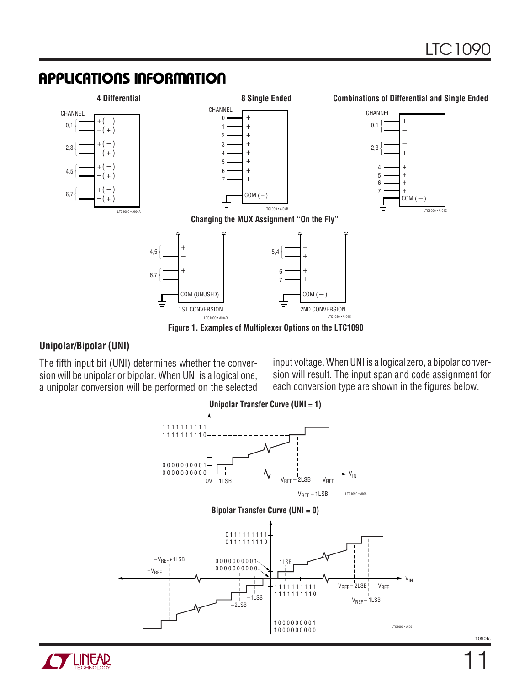

#### **Unipolar/Bipolar (UNI)**

The fifth input bit (UNI) determines whether the conversion will be unipolar or bipolar. When UNI is a logical one, a unipolar conversion will be performed on the selected

input voltage. When UNI is a logical zero, a bipolar conversion will result. The input span and code assignment for each conversion type are shown in the figures below.



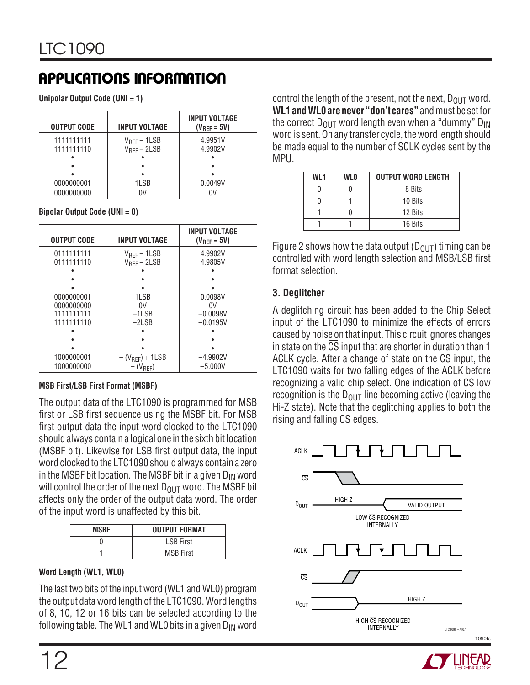**Unipolar Output Code (UNI = 1)**

| <b>OUTPUT CODE</b>       | <b>INPUT VOLTAGE</b>                 | <b>INPUT VOLTAGE</b><br>$(V_{REF} = 5V)$ |
|--------------------------|--------------------------------------|------------------------------------------|
| 1111111111<br>1111111110 | $V_{REF}$ – 1LSB<br>$V_{REF}$ – 2LSB | 4.9951V<br>4.9902V                       |
|                          |                                      |                                          |
|                          |                                      |                                          |
| 0000000001               | 1LSB                                 | 0.0049V                                  |
| 0000000000               | ٥V                                   |                                          |

#### **Bipolar Output Code (UNI = 0)**

| <b>OUTPUT CODE</b>       | <b>INPUT VOLTAGE</b>                         | <b>INPUT VOLTAGE</b><br>$(V_{RFF} = 5V)$ |
|--------------------------|----------------------------------------------|------------------------------------------|
| 0111111111<br>0111111110 | $V_{RFF}$ – 1 LSB<br>$V_{\text{RFF}} - 2LSB$ | 4.9902V<br>4.9805V                       |
|                          |                                              |                                          |
|                          |                                              |                                          |
|                          |                                              |                                          |
| 0000000001               | 1LSB                                         | 0.0098V                                  |
| 0000000000               | 0V                                           | 0V                                       |
| 1111111111               | $-1LSB$                                      | $-0.0098V$                               |
| 1111111110               | $-2LSB$                                      | $-0.0195V$                               |
|                          |                                              |                                          |
|                          |                                              |                                          |
|                          |                                              |                                          |
| 1000000001               | $-(V_{REF}) + 1LSB$                          | $-4.9902V$                               |
| 1000000000               | $-(V_{REF})$                                 | $-5.000V$                                |

#### **MSB First/LSB First Format (MSBF)**

The output data of the LTC1090 is programmed for MSB first or LSB first sequence using the MSBF bit. For MSB first output data the input word clocked to the LTC1090 should always contain a logical one in the sixth bit location (MSBF bit). Likewise for LSB first output data, the input word clocked to the LTC1090 should always contain a zero in the MSBF bit location. The MSBF bit in a given  $D_{IN}$  word will control the order of the next  $D_{\text{OUT}}$  word. The MSBF bit affects only the order of the output data word. The order of the input word is unaffected by this bit.

| <b>MSBF</b> | <b>OUTPUT FORMAT</b> |
|-------------|----------------------|
|             | <b>LSB First</b>     |
|             | <b>MSB First</b>     |

#### **Word Length (WL1, WL0)**

The last two bits of the input word (WL1 and WL0) program the output data word length of the LTC1090. Word lengths of 8, 10, 12 or 16 bits can be selected according to the following table. The WL1 and WL0 bits in a given  $D_{IN}$  word

control the length of the present, not the next,  $D_{\text{OUT}}$  word. **WL1 and WL0 are never "don't cares"** and must be set for the correct  $D_{\text{OUT}}$  word length even when a "dummy"  $D_{\text{IN}}$ word is sent. On any transfer cycle, the word length should be made equal to the number of SCLK cycles sent by the MPU.

| WL1 | <b>WLO</b> | <b>OUTPUT WORD LENGTH</b> |
|-----|------------|---------------------------|
|     |            | 8 Bits                    |
|     |            | 10 Bits                   |
|     |            | 12 Bits                   |
|     |            | 16 Bits                   |

Figure 2 shows how the data output ( $D_{OUT}$ ) timing can be controlled with word length selection and MSB/LSB first format selection.

### **3. Deglitcher**

A deglitching circuit has been added to the Chip Select input of the LTC1090 to minimize the effects of errors caused by noise on that input. This circuit ignores changes in state on the CS input that are shorter in duration than 1 ACLK cycle. After a change of state on the  $\overline{CS}$  input, the LTC1090 waits for two falling edges of the ACLK before recognizing a valid chip select. One indication of CS low recognition is the  $D_{\text{OUT}}$  line becoming active (leaving the Hi-Z state). Note that the deglitching applies to both the rising and falling CS edges.



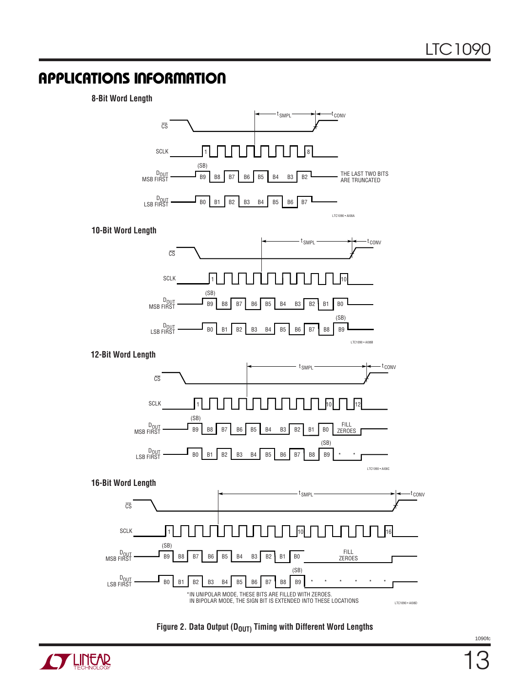**8-Bit Word Length**





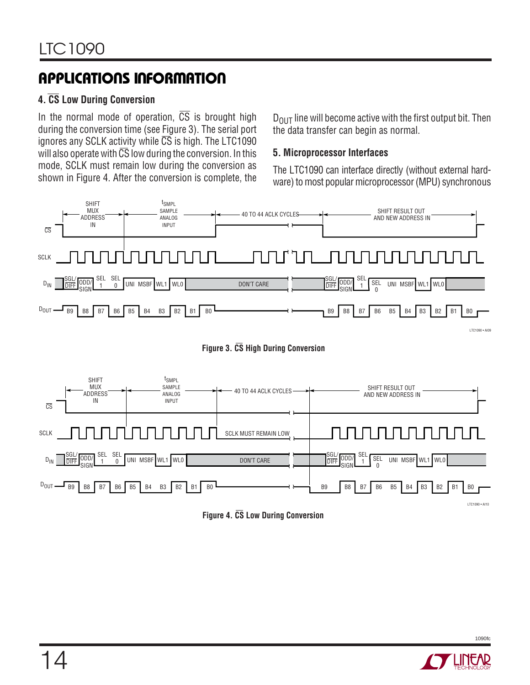### **4. CS Low During Conversion**

In the normal mode of operation,  $\overline{CS}$  is brought high during the conversion time (see Figure 3). The serial port ignores any SCLK activity while  $\overline{CS}$  is high. The LTC1090 will also operate with  $\overline{\text{CS}}$  low during the conversion. In this mode, SCLK must remain low during the conversion as shown in Figure 4. After the conversion is complete, the

 $D_{\text{OUT}}$  line will become active with the first output bit. Then the data transfer can begin as normal.

### **5. Microprocessor Interfaces**

The LTC1090 can interface directly (without external hardware) to most popular microprocessor (MPU) synchronous







**Figure 4. CS Low During Conversion**

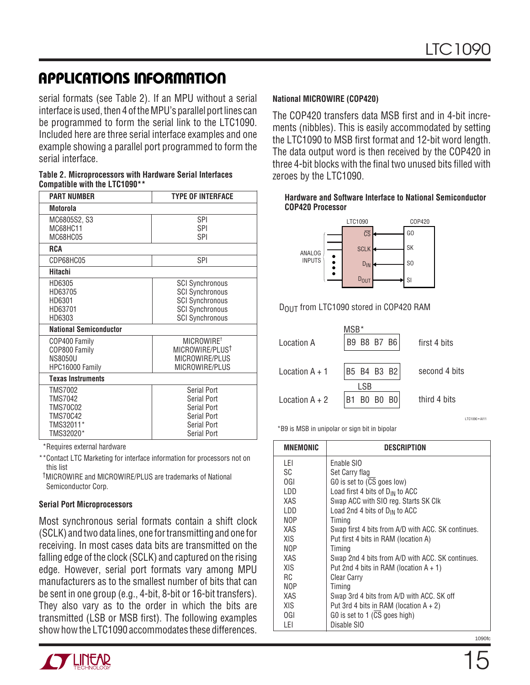serial formats (see Table 2). If an MPU without a serial interface is used, then 4 of the MPU's parallel port lines can be programmed to form the serial link to the LTC1090. Included here are three serial interface examples and one example showing a parallel port programmed to form the serial interface.

| Table 2. Microprocessors with Hardware Serial Interfaces |  |
|----------------------------------------------------------|--|
| Compatible with the LTC1090**                            |  |

| <b>PART NUMBER</b>                                                                               | <b>TYPE OF INTERFACE</b>                                                                                                       |  |  |
|--------------------------------------------------------------------------------------------------|--------------------------------------------------------------------------------------------------------------------------------|--|--|
| Motorola                                                                                         |                                                                                                                                |  |  |
| MC6805S2, S3<br>MC68HC11<br>MC68HC05                                                             | SPI<br>SPI<br><b>SPI</b>                                                                                                       |  |  |
| <b>RCA</b>                                                                                       |                                                                                                                                |  |  |
| CDP68HC05                                                                                        | <b>SPI</b>                                                                                                                     |  |  |
| <b>Hitachi</b>                                                                                   |                                                                                                                                |  |  |
| HD6305<br>HD63705<br>HD6301<br>HD63701<br>HD6303                                                 | <b>SCI Synchronous</b><br><b>SCI Synchronous</b><br><b>SCI Synchronous</b><br><b>SCI Synchronous</b><br><b>SCI Synchronous</b> |  |  |
| <b>National Semiconductor</b>                                                                    |                                                                                                                                |  |  |
| COP400 Family<br>COP800 Family<br><b>NS8050U</b><br>HPC16000 Family                              | MICROWIRE <sup>+</sup><br>MICROWIRE/PLUST<br>MICROWIRE/PLUS<br>MICROWIRE/PLUS                                                  |  |  |
| <b>Texas Instruments</b>                                                                         |                                                                                                                                |  |  |
| <b>TMS7002</b><br><b>TMS7042</b><br><b>TMS70C02</b><br><b>TMS70C42</b><br>TMS32011*<br>TMS32020* | Serial Port<br>Serial Port<br>Serial Port<br>Serial Port<br>Serial Port<br>Serial Port                                         |  |  |

\*Requires external hardware

\*\*Contact LTC Marketing for interface information for processors not on this list

 †MICROWIRE and MlCROWIRE/PLUS are trademarks of National Semiconductor Corp.

#### **Serial Port Microprocessors**

Most synchronous serial formats contain a shift clock (SCLK) and two data lines, one for transmitting and one for receiving. In most cases data bits are transmitted on the falling edge of the clock (SCLK) and captured on the rising edge. However, serial port formats vary among MPU manufacturers as to the smallest number of bits that can be sent in one group (e.g., 4-bit, 8-bit or 16-bit transfers). They also vary as to the order in which the bits are transmitted (LSB or MSB first). The following examples show how the LTC1090 accommodates these differences.



#### **National MICROWIRE (COP420)**

The COP420 transfers data MSB first and in 4-bit increments (nibbles). This is easily accommodated by setting the LTC1090 to MSB first format and 12-bit word length. The data output word is then received by the COP420 in three 4-bit blocks with the final two unused bits filled with zeroes by the LTC1090.

#### **Hardware and Software Interface to National Semiconductor COP420 Processor**



DOUT from LTC1090 stored in COP420 RAM

|                  | MSB*        |                 |
|------------------|-------------|-----------------|
| Location A       | B9 B8 B7 B6 | first 4 bits    |
|                  |             |                 |
| Location $A + 1$ | B5 B4 B3 B2 | second 4 bits   |
|                  | I SB        |                 |
| Location $A + 2$ | B1 B0 B0 B0 | third 4 bits    |
|                  |             | I TC1090 . AI11 |

\*B9 is MSB in unipolar or sign bit in bipolar

| <b>MNEMONIC</b> | DESCRIPTION                                        |
|-----------------|----------------------------------------------------|
| LEI             | Enable SIO                                         |
| SC              | Set Carry flag                                     |
| 0GI             | GO is set to (CS goes low)                         |
| LDD             | Load first 4 bits of $D_{IN}$ to ACC               |
| XAS             | Swap ACC with SIO reg. Starts SK Clk               |
| LDD             | Load 2nd 4 bits of $D_{IN}$ to ACC                 |
| <b>NOP</b>      | Timing                                             |
| XAS             | Swap first 4 bits from A/D with ACC. SK continues. |
| XIS             | Put first 4 bits in RAM (location A)               |
| <b>NOP</b>      | Timing                                             |
| XAS             | Swap 2nd 4 bits from A/D with ACC. SK continues.   |
| <b>XIS</b>      | Put 2nd 4 bits in RAM (location $A + 1$ )          |
| RC.             | <b>Clear Carry</b>                                 |
| <b>NOP</b>      | Timing                                             |
| XAS             | Swap 3rd 4 bits from A/D with ACC. SK off          |
| XIS             | Put 3rd 4 bits in RAM (location $A + 2$ )          |
| 0GI             | GO is set to 1 (CS goes high)                      |
| LEI             | Disable SIO                                        |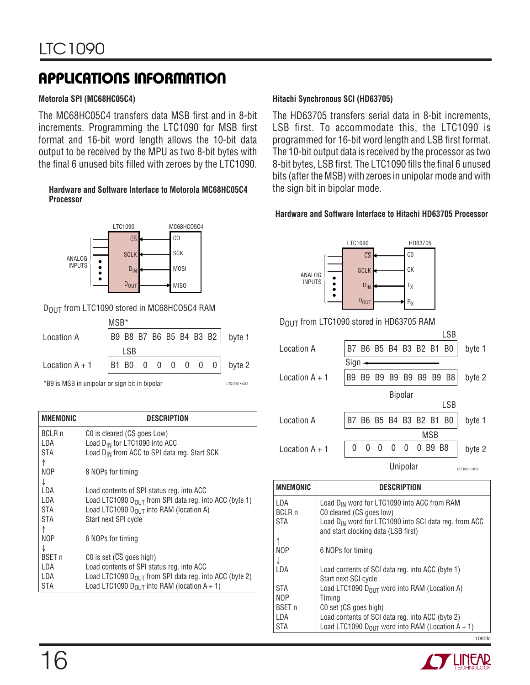#### **Motorola SPI (MC68HC05C4)**

The MC68HC05C4 transfers data MSB first and in 8-bit increments. Programming the LTC1090 for MSB first format and 16-bit word length allows the 10-bit data output to be received by the MPU as two 8-bit bytes with the final 6 unused bits filled with zeroes by the LTC1090.

#### **Hardware and Software Interface to Motorola MC68HC05C4 Processor**



#### DOUT from LTC1090 stored in MC68HCO5C4 RAM

|                  | MSB* |      |  |  |  |                                  |
|------------------|------|------|--|--|--|----------------------------------|
| Location A       |      |      |  |  |  | B9 B8 B7 B6 B5 B4 B3 B2   byte 1 |
|                  |      | I SB |  |  |  |                                  |
| Location $A + 1$ |      |      |  |  |  | B1 B0 0 0 0 0 0 0   byte 2       |

LTC1090 • AI12

\*B9 is MSB in unipolar or sign bit in bipolar

| <b>MNEMONIC</b> | DESCRIPTION                                                  |
|-----------------|--------------------------------------------------------------|
| <b>BCLR n</b>   | CO is cleared (CS goes Low)                                  |
| I DA            | Load D <sub>IN</sub> for LTC1090 into ACC                    |
| STA             | Load D <sub>IN</sub> from ACC to SPI data reg. Start SCK     |
|                 |                                                              |
| NOP             | 8 NOPs for timing                                            |
| J               |                                                              |
| I DA            | Load contents of SPI status reg. into ACC                    |
| LDA             | Load LTC1090 $D_{OIII}$ from SPI data reg. into ACC (byte 1) |
| <b>STA</b>      | Load LTC1090 $D_{OIII}$ into RAM (location A)                |
| STA             | Start next SPI cycle                                         |
|                 |                                                              |
| NOP             | 6 NOPs for timing                                            |
|                 |                                                              |
| <b>BSET</b> n   | CO is set $(\overline{CS}$ goes high)                        |
| I DA            | Load contents of SPI status reg. into ACC                    |
| LDA             | Load LTC1090 $D_{OIII}$ from SPI data reg. into ACC (byte 2) |
| STA             | Load LTC1090 $D_{OUT}$ into RAM (location A + 1)             |
|                 |                                                              |

#### **Hitachi Synchronous SCI (HD63705)**

The HD63705 transfers serial data in 8-bit increments, LSB first. To accommodate this, the LTC1090 is programmed for 16-bit word length and LSB first format. The 10-bit output data is received by the processor as two 8-bit bytes, LSB first. The LTC1090 fills the final 6 unused bits (after the MSB) with zeroes in unipolar mode and with the sign bit in bipolar mode.

#### **Hardware and Software Interface to Hitachi HD63705 Processor**



#### DOUT from LTC1090 stored in HD63705 RAM

|                  |                |    |                      |    |                |                |            | LSB            |                |
|------------------|----------------|----|----------------------|----|----------------|----------------|------------|----------------|----------------|
| Location A       |                |    | B7 B6 B5 B4 B3 B2 B1 |    |                |                |            | B <sub>0</sub> | byte 1         |
|                  | Sign           |    |                      |    |                |                |            |                |                |
| Location $A + 1$ | B <sub>9</sub> | B9 | B9                   | B9 | B9             | B <sub>9</sub> | B9         | B <sub>8</sub> | byte 2         |
|                  |                |    |                      |    | <b>Bipolar</b> |                |            |                |                |
|                  |                |    |                      |    |                |                |            | <b>LSB</b>     |                |
| Location A       | B7             |    | B6 B5 B4 B3 B2 B1    |    |                |                |            | B0             | byte 1         |
|                  |                |    |                      |    |                |                | <b>MSB</b> |                |                |
| Location $A + 1$ | 0              | 0  | 0                    | 0  | 0              |                | B9         | - B8           | byte 2         |
|                  |                |    |                      |    | Unipolar       |                |            |                | LTC1090 · AI13 |

| <b>MNEMONIC</b> | <b>DESCRIPTION</b>                                                                                       |
|-----------------|----------------------------------------------------------------------------------------------------------|
| LDA             | Load $D_{IN}$ word for LTC1090 into ACC from RAM                                                         |
| <b>BCLR n</b>   | CO cleared $(CS$ goes low)                                                                               |
| <b>STA</b>      | Load D <sub>IN</sub> word for LTC1090 into SCI data reg. from ACC<br>and start clocking data (LSB first) |
|                 |                                                                                                          |
| <b>NOP</b>      | 6 NOPs for timing                                                                                        |
|                 |                                                                                                          |
| I DA            | Load contents of SCI data reg. into ACC (byte 1)                                                         |
|                 | Start next SCI cycle                                                                                     |
| <b>STA</b>      | Load LTC1090 D <sub>OUT</sub> word into RAM (Location A)                                                 |
| NOP             | Timing                                                                                                   |
| <b>BSET n</b>   | CO set (CS goes high)                                                                                    |
| LDA             | Load contents of SCI data reg. into ACC (byte 2)                                                         |
| <b>STA</b>      | Load LTC1090 $D_{OUT}$ word into RAM (Location A + 1)                                                    |

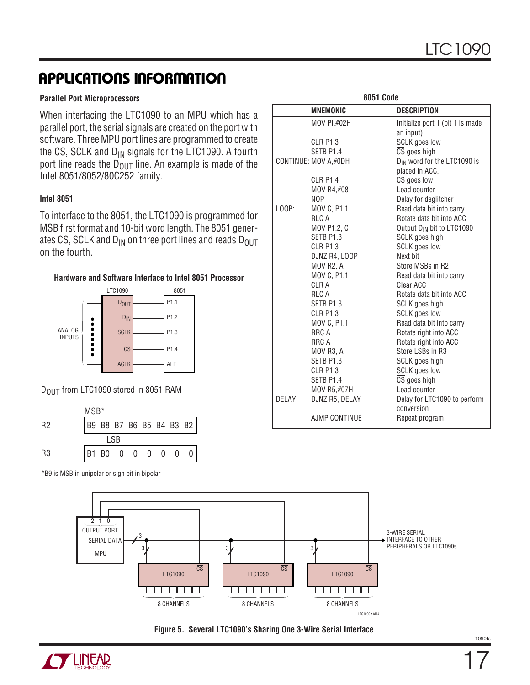#### **Parallel Port Microprocessors**

When interfacing the LTC1090 to an MPU which has a parallel port, the serial signals are created on the port with software. Three MPU port lines are programmed to create the  $\overline{CS}$ , SCLK and  $D_{IN}$  signals for the LTC1090. A fourth port line reads the  $\overline{D_{\text{OUT}}}$  line. An example is made of the Intel 8051/8052/80C252 family.

#### **Intel 8051**

To interface to the 8051, the LTC1090 is programmed for MSB first format and 10-bit word length. The 8051 generates  $\overline{CS}$ , SCLK and D<sub>IN</sub> on three port lines and reads D<sub>OUT</sub> on the fourth.





DOUT from LTC1090 stored in 8051 RAM



\*B9 is MSB in unipolar or sign bit in bipolar

|        |                      | <b>8051 Code</b> |                                         |
|--------|----------------------|------------------|-----------------------------------------|
|        | <b>MNEMONIC</b>      |                  | <b>DESCRIPTION</b>                      |
|        | MOV PI,#02H          |                  | Initialize port 1 (bit 1 is made        |
|        |                      |                  | an input)                               |
|        | CLR P <sub>1.3</sub> |                  | <b>SCLK</b> goes low                    |
|        | SETB P1.4            |                  | CS goes high                            |
|        | CONTINUE: MOV A,#0DH |                  | D <sub>IN</sub> word for the LTC1090 is |
|        |                      |                  | placed in ACC.                          |
|        | <b>CLR P1.4</b>      |                  | $\overline{\text{CS}}$ goes low         |
|        | MOV R4,#08           |                  | Load counter                            |
|        | NOP                  |                  | Delay for deglitcher                    |
| L00P:  | MOV C, P1.1          |                  | Read data bit into carry                |
|        | <b>RLCA</b>          |                  | Rotate data bit into ACC                |
|        | MOV P1.2, C          |                  | Output D <sub>IN</sub> bit to LTC1090   |
|        | SETB P1.3            |                  | SCLK goes high                          |
|        | <b>CLR P1.3</b>      |                  | <b>SCLK</b> goes low                    |
|        | DJNZ R4, LOOP        |                  | Next bit                                |
|        | MOV R2, A            |                  | Store MSBs in R2                        |
|        | MOV C, P1.1          |                  | Read data bit into carry                |
|        | CLR A                |                  | Clear ACC                               |
|        | <b>RLCA</b>          |                  | Rotate data bit into ACC                |
|        | SETB P1.3            |                  | SCLK goes high                          |
|        | <b>CLR P1.3</b>      |                  | <b>SCLK</b> goes low                    |
|        | MOV C, P1.1          |                  | Read data bit into carry                |
|        | RRC A                |                  | Rotate right into ACC                   |
|        | RRC A                |                  | Rotate right into ACC                   |
|        | MOV R3, A            |                  | Store LSBs in R3                        |
|        | SETB P1.3            |                  | SCLK goes high                          |
|        | <b>CLR P1.3</b>      |                  | <b>SCLK</b> goes low                    |
|        | SETB P1.4            |                  | $\overline{\text{CS}}$ goes high        |
|        | MOV R5,#07H          |                  | Load counter                            |
| DELAY: | DJNZ R5, DELAY       |                  | Delay for LTC1090 to perform            |
|        |                      |                  | conversion                              |
|        | AJMP CONTINUE        |                  | Repeat program                          |





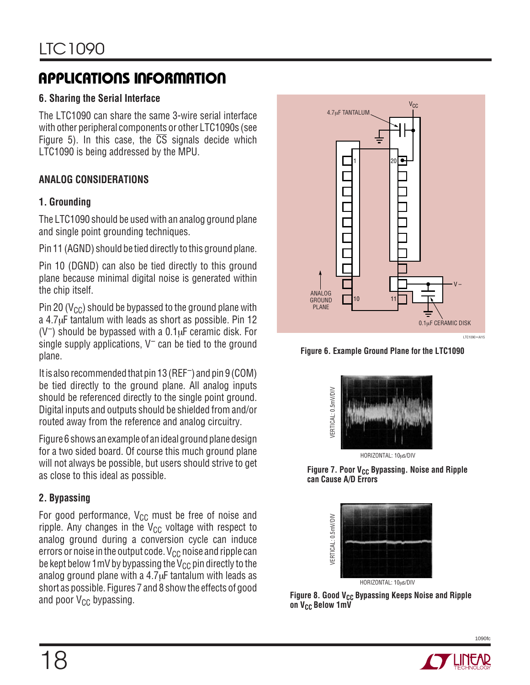### **6. Sharing the Serial Interface**

The LTC1090 can share the same 3-wire serial interface with other peripheral components or other LTC1090s (see Figure 5). In this case, the  $\overline{CS}$  signals decide which LTC1090 is being addressed by the MPU.

### **ANALOG CONSIDERATIONS**

### **1. Grounding**

The LTC1090 should be used with an analog ground plane and single point grounding techniques.

Pin 11 (AGND) should be tied directly to this ground plane.

Pin 10 (DGND) can also be tied directly to this ground plane because minimal digital noise is generated within the chip itself.

Pin 20 ( $V_{\text{CC}}$ ) should be bypassed to the ground plane with a 4.7µF tantalum with leads as short as possible. Pin 12  $(V^-)$  should be bypassed with a  $0.1\mu$ F ceramic disk. For single supply applications,  $V^-$  can be tied to the ground plane.

It is also recommended that pin 13 (REF–) and pin 9 (COM) be tied directly to the ground plane. All analog inputs should be referenced directly to the single point ground. Digital inputs and outputs should be shielded from and/or routed away from the reference and analog circuitry.

Figure 6 shows an example of an ideal ground plane design for a two sided board. Of course this much ground plane will not always be possible, but users should strive to get as close to this ideal as possible.

### **2. Bypassing**

For good performance,  $V_{CC}$  must be free of noise and ripple. Any changes in the  $V_{CC}$  voltage with respect to analog ground during a conversion cycle can induce errors or noise in the output code.  $V_{CC}$  noise and ripple can be kept below 1 mV by bypassing the  $V_{CC}$  pin directly to the analog ground plane with a 4.7µF tantalum with leads as short as possible. Figures 7 and 8 show the effects of good and poor  $V_{CC}$  bypassing.



**Figure 6. Example Ground Plane for the LTC1090**



Figure 7. Poor V<sub>CC</sub> Bypassing. Noise and Ripple **can Cause A/D Errors**



Figure 8. Good V<sub>CC</sub> Bypassing Keeps Noise and Ripple on V<sub>CC</sub> Below 1mV

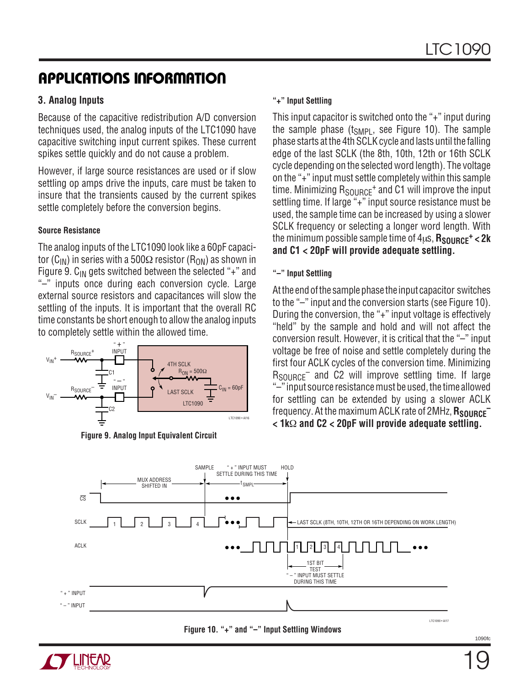### **3. Analog Inputs**

Because of the capacitive redistribution A/D conversion techniques used, the analog inputs of the LTC1090 have capacitive switching input current spikes. These current spikes settle quickly and do not cause a problem.

However, if large source resistances are used or if slow settling op amps drive the inputs, care must be taken to insure that the transients caused by the current spikes settle completely before the conversion begins.

#### **Source Resistance**

The analog inputs of the LTC1090 look like a 60pF capacitor (C<sub>IN</sub>) in series with a 500 $\Omega$  resistor (R<sub>ON</sub>) as shown in Figure 9.  $C_{IN}$  gets switched between the selected "+" and "–" inputs once during each conversion cycle. Large external source resistors and capacitances will slow the settling of the inputs. It is important that the overall RC time constants be short enough to allow the analog inputs to completely settle within the allowed time.





#### **"+" Input Settling**

This input capacitor is switched onto the "+" input during the sample phase  $(t_{SMPL})$ , see Figure 10). The sample phase starts at the 4th SCLK cycle and lasts until the falling edge of the last SCLK (the 8th, 10th, 12th or 16th SCLK cycle depending on the selected word length). The voltage on the "+" input must settle completely within this sample time. Minimizing  $R_{SOLBCF}$ <sup>+</sup> and C1 will improve the input settling time. If large "+" input source resistance must be used, the sample time can be increased by using a slower SCLK frequency or selecting a longer word length. With the minimum possible sample time of 4us,  $R_{\text{SNIRCF}}$ <sup>+</sup> < 2k **and C1 < 20pF will provide adequate settling.**

#### **"–" Input Settling**

At the end of the sample phase the input capacitor switches to the "–" input and the conversion starts (see Figure 10). During the conversion, the "+" input voltage is effectively "held" by the sample and hold and will not affect the conversion result. However, it is critical that the "–" input voltage be free of noise and settle completely during the first four ACLK cycles of the conversion time. Minimizing  $R_{\text{SOLRCF}}$  and C2 will improve settling time. If large "–" input source resistance must be used, the time allowed for settling can be extended by using a slower ACLK frequency. At the maximum ACLK rate of 2MHz, **R<sub>SOURCE</sub> < 1k**Ω **and C2 < 20pF will provide adequate settling.**



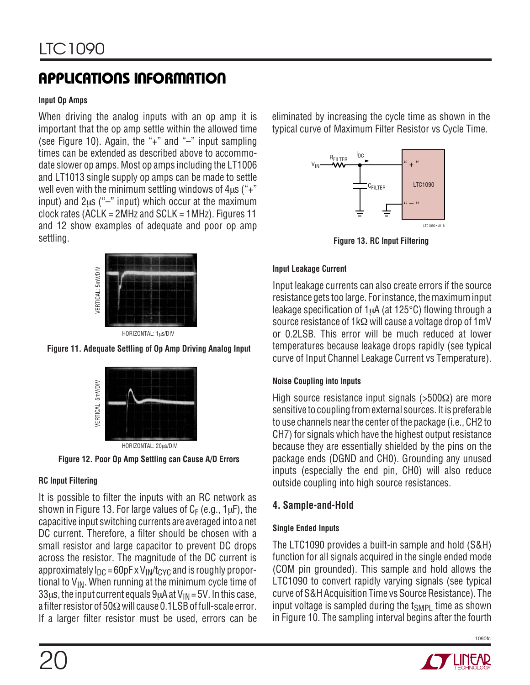#### **Input Op Amps**

When driving the analog inputs with an op amp it is important that the op amp settle within the allowed time (see Figure 10). Again, the "+" and "–" input sampling times can be extended as described above to accommodate slower op amps. Most op amps including the LT1006 and LT1013 single supply op amps can be made to settle well even with the minimum settling windows of  $4\mu s$  ("+" input) and  $2\mu s$  ("-" input) which occur at the maximum clock rates (ACLK = 2MHz and SCLK = 1MHz). Figures 11 and 12 show examples of adequate and poor op amp settling.



HORIZONTAL: 1µs/DIV





**Figure 12. Poor Op Amp Settling can Cause A/D Errors**

### **RC Input Filtering**

It is possible to filter the inputs with an RC network as shown in Figure 13. For large values of  $C_F$  (e.g., 1 $\mu$ F), the capacitive input switching currents are averaged into a net DC current. Therefore, a filter should be chosen with a small resistor and large capacitor to prevent DC drops across the resistor. The magnitude of the DC current is approximately  $I_{DC}$  = 60pF x  $V_{IN}/t_{CYC}$  and is roughly proportional to  $V_{\text{IN}}$ . When running at the minimum cycle time of 33 $\mu$ s, the input current equals 9 $\mu$ A at V<sub>IN</sub> = 5V. In this case, a filter resistor of 50Ωwill cause 0.1LSB of full-scale error. If a larger filter resistor must be used, errors can be eliminated by increasing the cycle time as shown in the typical curve of Maximum Filter Resistor vs Cycle Time.



**Figure 13. RC Input Filtering**

### **Input Leakage Current**

Input leakage currents can also create errors if the source resistance gets too large. For instance, the maximum input leakage specification of 1µA (at 125°C) flowing through a source resistance of 1kΩ will cause a voltage drop of 1mV or 0.2LSB. This error will be much reduced at lower temperatures because leakage drops rapidly (see typical curve of Input Channel Leakage Current vs Temperature).

#### **Noise Coupling into Inputs**

High source resistance input signals ( $>500\Omega$ ) are more sensitive to coupling from external sources. It is preferable to use channels near the center of the package (i.e., CH2 to CH7) for signals which have the highest output resistance because they are essentially shielded by the pins on the package ends (DGND and CH0). Grounding any unused inputs (especially the end pin, CH0) will also reduce outside coupling into high source resistances.

### **4. Sample-and-Hold**

### **Single Ended Inputs**

The LTC1090 provides a built-in sample and hold (S&H) function for all signals acquired in the single ended mode (COM pin grounded). This sample and hold allows the LTC1090 to convert rapidly varying signals (see typical curve of S&H Acquisition Time vs Source Resistance). The input voltage is sampled during the  $t_{SMPI}$  time as shown in Figure 10. The sampling interval begins after the fourth

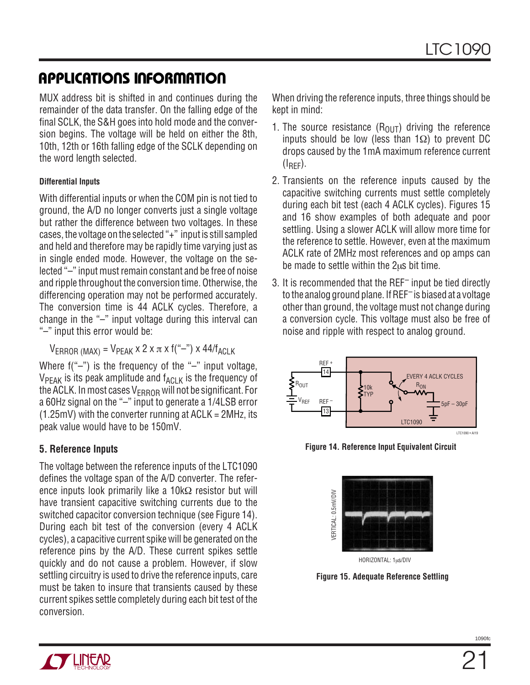MUX address bit is shifted in and continues during the remainder of the data transfer. On the falling edge of the final SCLK, the S&H goes into hold mode and the conversion begins. The voltage will be held on either the 8th, 10th, 12th or 16th falling edge of the SCLK depending on the word length selected.

### **Differential Inputs**

With differential inputs or when the COM pin is not tied to ground, the A/D no longer converts just a single voltage but rather the difference between two voltages. In these cases, the voltage on the selected "+" input is still sampled and held and therefore may be rapidly time varying just as in single ended mode. However, the voltage on the selected "–" input must remain constant and be free of noise and ripple throughout the conversion time. Otherwise, the differencing operation may not be performed accurately. The conversion time is 44 ACLK cycles. Therefore, a change in the "–" input voltage during this interval can "–" input this error would be:

 $V_{\text{FRROR (MAX)}} = V_{\text{PFAK}} \times 2 \times \pi \times f("--") \times 44/f_{\text{AGLK}}$ 

Where  $f("-")$  is the frequency of the "-" input voltage,  $V_{PEAK}$  is its peak amplitude and  $f_{ACLK}$  is the frequency of the ACLK. In most cases  $V_{FRROR}$  will not be significant. For a 60Hz signal on the "–" input to generate a 1/4LSB error  $(1.25mV)$  with the converter running at ACLK = 2MHz, its peak value would have to be 150mV.

### **5. Reference Inputs**

The voltage between the reference inputs of the LTC1090 defines the voltage span of the A/D converter. The reference inputs look primarily like a 10kΩ resistor but will have transient capacitive switching currents due to the switched capacitor conversion technique (see Figure 14). During each bit test of the conversion (every 4 ACLK cycles), a capacitive current spike will be generated on the reference pins by the A/D. These current spikes settle quickly and do not cause a problem. However, if slow settling circuitry is used to drive the reference inputs, care must be taken to insure that transients caused by these current spikes settle completely during each bit test of the conversion.

When driving the reference inputs, three things should be kept in mind:

- 1. The source resistance  $(R<sub>OLIT</sub>)$  driving the reference inputs should be low (less than 1Ω) to prevent DC drops caused by the 1mA maximum reference current  $(I_{\text{RFF}})$ .
- 2. Transients on the reference inputs caused by the capacitive switching currents must settle completely during each bit test (each 4 ACLK cycles). Figures 15 and 16 show examples of both adequate and poor settling. Using a slower ACLK will allow more time for the reference to settle. However, even at the maximum ACLK rate of 2MHz most references and op amps can be made to settle within the 2µs bit time.
- 3. It is recommended that the REF– input be tied directly to the analog ground plane. If REF– is biased at a voltage other than ground, the voltage must not change during a conversion cycle. This voltage must also be free of noise and ripple with respect to analog ground.



**Figure 14. Reference Input Equivalent Circuit**



**Figure 15. Adequate Reference Settling**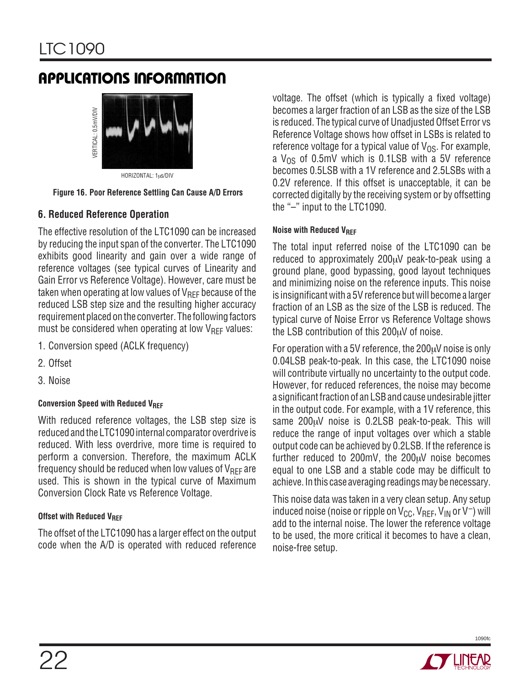

HORIZONTAL: 1µs/DIV

**Figure 16. Poor Reference Settling Can Cause A/D Errors**

### **6. Reduced Reference Operation**

The effective resolution of the LTC1090 can be increased by reducing the input span of the converter. The LTC1090 exhibits good linearity and gain over a wide range of reference voltages (see typical curves of Linearity and Gain Error vs Reference Voltage). However, care must be taken when operating at low values of  $V_{REF}$  because of the reduced LSB step size and the resulting higher accuracy requirement placed on the converter. The following factors must be considered when operating at low  $V_{REF}$  values:

- 1. Conversion speed (ACLK frequency)
- 2. Offset
- 3. Noise

### **Conversion Speed with Reduced VREF**

With reduced reference voltages, the LSB step size is reduced and the LTC1090 internal comparator overdrive is reduced. With less overdrive, more time is required to perform a conversion. Therefore, the maximum ACLK frequency should be reduced when low values of  $V_{REF}$  are used. This is shown in the typical curve of Maximum Conversion Clock Rate vs Reference Voltage.

### **Offset with Reduced VREF**

The offset of the LTC1090 has a larger effect on the output code when the A/D is operated with reduced reference

voltage. The offset (which is typically a fixed voltage) becomes a larger fraction of an LSB as the size of the LSB is reduced. The typical curve of Unadjusted Offset Error vs Reference Voltage shows how offset in LSBs is related to reference voltage for a typical value of  $V_{OS}$ . For example, a  $V_{OS}$  of 0.5mV which is 0.1LSB with a 5V reference becomes 0.5LSB with a 1V reference and 2.5LSBs with a 0.2V reference. If this offset is unacceptable, it can be corrected digitally by the receiving system or by offsetting the "–" input to the LTC1090.

#### **Noise with Reduced VREF**

The total input referred noise of the LTC1090 can be reduced to approximately 200µV peak-to-peak using a ground plane, good bypassing, good layout techniques and minimizing noise on the reference inputs. This noise is insignificant with a 5V reference but will become a larger fraction of an LSB as the size of the LSB is reduced. The typical curve of Noise Error vs Reference Voltage shows the LSB contribution of this 200µV of noise.

For operation with a 5V reference, the  $200\mu$ V noise is only 0.04LSB peak-to-peak. In this case, the LTC1090 noise will contribute virtually no uncertainty to the output code. However, for reduced references, the noise may become a significant fraction of an LSB and cause undesirable jitter in the output code. For example, with a 1V reference, this same 200µV noise is 0.2LSB peak-to-peak. This will reduce the range of input voltages over which a stable output code can be achieved by 0.2LSB. If the reference is further reduced to 200mV, the 200µV noise becomes equal to one LSB and a stable code may be difficult to achieve. In this case averaging readings may be necessary.

This noise data was taken in a very clean setup. Any setup induced noise (noise or ripple on  $V_{CC}$ ,  $V_{REF}$ ,  $V_{IN}$  or  $V^-$ ) will add to the internal noise. The lower the reference voltage to be used, the more critical it becomes to have a clean, noise-free setup.

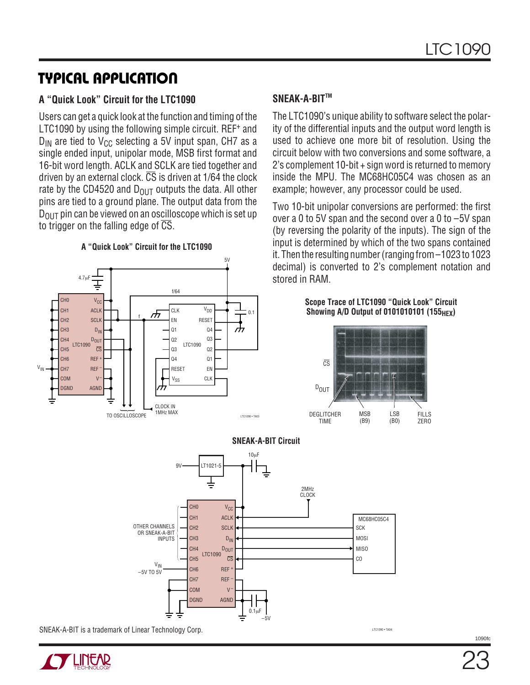# **U TYPICAL APPLICATIO**

### **A "Quick Look" Circuit for the LTC1090**

Users can get a quick look at the function and timing of the LTC1090 by using the following simple circuit. REF<sup>+</sup> and  $D_{IN}$  are tied to V<sub>CC</sub> selecting a 5V input span, CH7 as a single ended input, unipolar mode, MSB first format and 16-bit word length. ACLK and SCLK are tied together and driven by an external clock.  $\overline{CS}$  is driven at 1/64 the clock rate by the CD4520 and  $D_{OUT}$  outputs the data. All other pins are tied to a ground plane. The output data from the  $D_{\text{OUT}}$  pin can be viewed on an oscilloscope which is set up to trigger on the falling edge of  $\overline{\text{CS}}$ .





### **SNEAK-A-BITTM**

The LTC1090's unique ability to software select the polarity of the differential inputs and the output word length is used to achieve one more bit of resolution. Using the circuit below with two conversions and some software, a 2's complement 10-bit + sign word is returned to memory inside the MPU. The MC68HC05C4 was chosen as an example; however, any processor could be used.

Two 10-bit unipolar conversions are performed: the first over a 0 to 5V span and the second over a 0 to –5V span (by reversing the polarity of the inputs). The sign of the input is determined by which of the two spans contained it. Then the resulting number (ranging from –1023 to 1023 decimal) is converted to 2's complement notation and stored in RAM.

#### **Scope Trace of LTC1090 "Quick Look" Circuit Showing A/D Output of 0101010101 (155<sub>HFX</sub>)**







SNEAK-A-BIT is a trademark of Linear Technology Corp. LTCLOSOFTALL TECHNOLOGY TALK

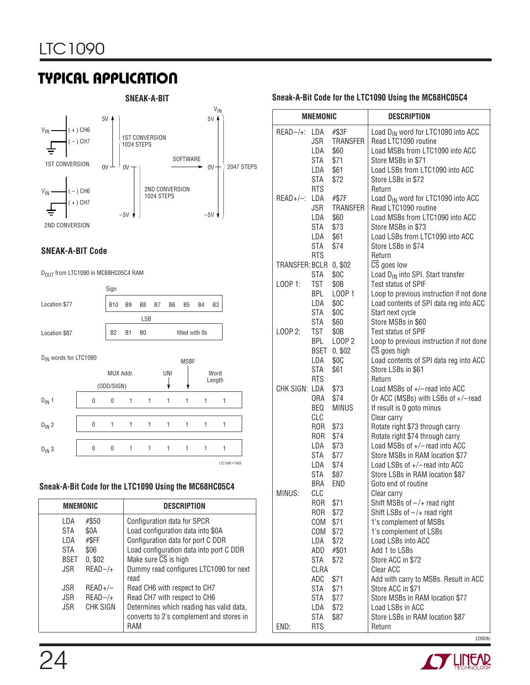# **U TYPICAL APPLICATIO**



#### **SNEAK-A-BIT Code**

D<sub>OUT</sub> from LTC1090 in MC68HC05C4 RAM



#### **Sneak-A-Bit Code for the LTC1090 Using the MC68HC05C4**

| <b>MNEMONIC</b>        |           | <b>DESCRIPTION</b>                                                                          |
|------------------------|-----------|---------------------------------------------------------------------------------------------|
| #\$50<br>LDA           |           | Configuration data for SPCR                                                                 |
| \$0A<br>STA            |           | Load configuration data into \$0A                                                           |
| #\$FF<br>LDA           |           | Configuration data for port C DDR                                                           |
| \$06<br>STA            |           | Load configuration data into port C DDR                                                     |
| 0, \$02<br><b>BSET</b> |           | Make sure $\overline{CS}$ is high                                                           |
| <b>JSR</b>             | $READ-/+$ | Dummy read configures LTC1090 for next<br>read                                              |
| <b>JSR</b>             | $READ+/-$ | Read CH6 with respect to CH7                                                                |
| <b>JSR</b>             | $READ-/+$ | Read CH7 with respect to CH6                                                                |
| <b>JSR</b>             | CHK SIGN  | Determines which reading has valid data,<br>converts to 2's complement and stores in<br>RAM |

#### **SNEAK-A-BIT Sneak-A-Bit Code for the LTC1090 Using the MC68HC05C4**

| <b>MNEMONIC</b>        |                   |                          | <b>DESCRIPTION</b>                                                           |
|------------------------|-------------------|--------------------------|------------------------------------------------------------------------------|
| $READ-/+$ :            | LDA               | #\$3F                    | Load D <sub>IN</sub> word for LTC1090 into ACC                               |
|                        | JSR               | <b>TRANSFER</b>          | Read LTC1090 routine                                                         |
|                        | LDA               | \$60                     | Load MSBs from LTC1090 into ACC                                              |
|                        | STA               | \$71                     | Store MSBs in \$71                                                           |
|                        | LDA               | \$61                     | Load LSBs from LTC1090 into ACC                                              |
|                        | STA               | \$72                     | Store LSBs in \$72                                                           |
|                        | <b>RTS</b>        |                          | Return                                                                       |
| READ+/-: LDA           | JSR               | #\$7F<br><b>TRANSFER</b> | Load D <sub>IN</sub> word for LTC1090 into ACC<br>Read LTC1090 routine       |
|                        | LDA               | \$60                     | Load MSBs from LTC1090 into ACC                                              |
|                        | STA               | \$73                     | Store MSBs in \$73                                                           |
|                        | LDA               | \$61                     | Load LSBs from LTC1090 into ACC                                              |
|                        | STA               | \$74                     | Store LSBs in \$74                                                           |
|                        | <b>RTS</b>        |                          | Return                                                                       |
| TRANSFER: BCLR 0, \$02 |                   |                          | CS goes low                                                                  |
|                        | STA               | \$0C                     | Load D <sub>IN</sub> into SPI. Start transfer                                |
| LOOP 1:                | TST               | \$0B                     | <b>Test status of SPIF</b>                                                   |
|                        | BPL               | L00P1                    | Loop to previous instruction if not done                                     |
|                        | LDA               | \$0C                     | Load contents of SPI data reg into ACC                                       |
|                        | STA               | \$0C                     | Start next cycle                                                             |
|                        | STA               | \$60                     | Store MSBs in \$60                                                           |
| LOOP 2:                | TST               | \$0B                     | <b>Test status of SPIF</b>                                                   |
|                        | BPL<br>BSET       | LOOP 2<br>0, \$02        | Loop to previous instruction if not done<br>$\overline{\text{CS}}$ goes high |
|                        | LDA               | \$0C                     | Load contents of SPI data reg into ACC                                       |
|                        | STA               | \$61                     | Store LSBs in \$61                                                           |
|                        | <b>RTS</b>        |                          | Return                                                                       |
| CHK SIGN: LDA          |                   | \$73                     | Load MSBs of +/-read into ACC                                                |
|                        | 0RA               | \$74                     | Or ACC (MSBs) with LSBs of +/-read                                           |
|                        | BEQ               | <b>MINUS</b>             | If result is 0 goto minus                                                    |
|                        | CLC               |                          | Clear carry                                                                  |
|                        | ROR.              | \$73                     | Rotate right \$73 through carry                                              |
|                        | ROR               | \$74                     | Rotate right \$74 through carry                                              |
|                        | LDA               | \$73                     | Load MSBs of +/-read into ACC                                                |
|                        | STA               | \$77                     | Store MSBs in RAM location \$77                                              |
|                        | LDA               | \$74                     | Load LSBs of +/-read into ACC                                                |
|                        | STA<br>BRA        | \$87<br><b>END</b>       | Store LSBs in RAM location \$87<br>Goto end of routine                       |
| MINUS:                 | CLC               |                          | Clear carry                                                                  |
|                        | ROR               | \$71                     | Shift MSBs of $-/+$ read right                                               |
|                        | <b>ROR</b>        | \$72                     | Shift LSBs of $-/+$ read right                                               |
|                        | COM               | \$71                     | 1's complement of MSBs                                                       |
|                        | COM               | \$72                     | 1's complement of LSBs                                                       |
|                        | LDA               | \$72                     | Load LSBs into ACC                                                           |
|                        | ADD               | #\$01                    | Add 1 to LSBs                                                                |
|                        | STA               | \$72                     | Store ACC in \$72                                                            |
|                        | CLRA              |                          | Clear ACC                                                                    |
|                        | ADC               | \$71                     | Add with carry to MSBs. Result in ACC                                        |
|                        | STA               | \$71                     | Store ACC in \$71                                                            |
|                        | STA               | \$77                     | Store MSBs in RAM location \$77                                              |
|                        | LDA               | \$72                     | Load LSBs in ACC                                                             |
| END:                   | STA<br><b>RTS</b> | \$87                     | Store LSBs in RAM location \$87<br>Return                                    |

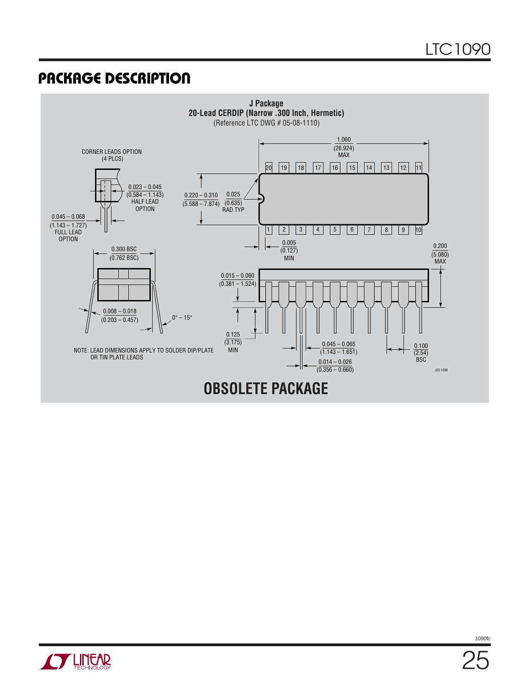### **U PACKAGE DESCRIPTIO**



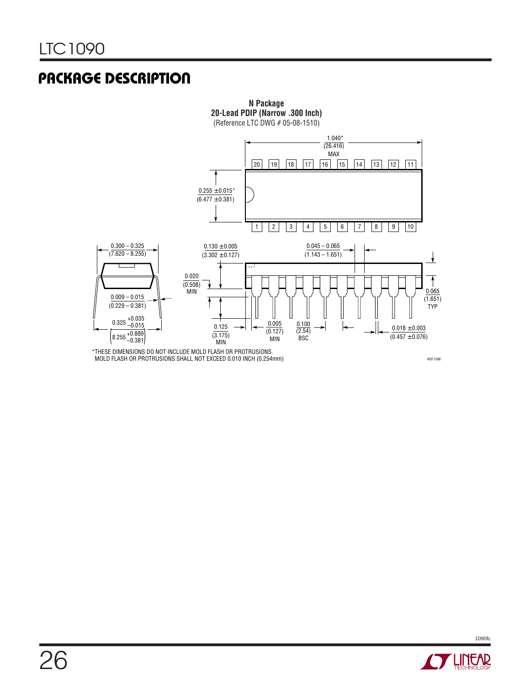# **U PACKAGE DESCRIPTIO**



\*THESE DIMENSIONS DO NOT INCLUDE MOLD FLASH OR PROTRUSIONS. MOLD FLASH OR PROTRUSIONS SHALL NOT EXCEED 0.010 INCH (0.254mm)

N20 1098

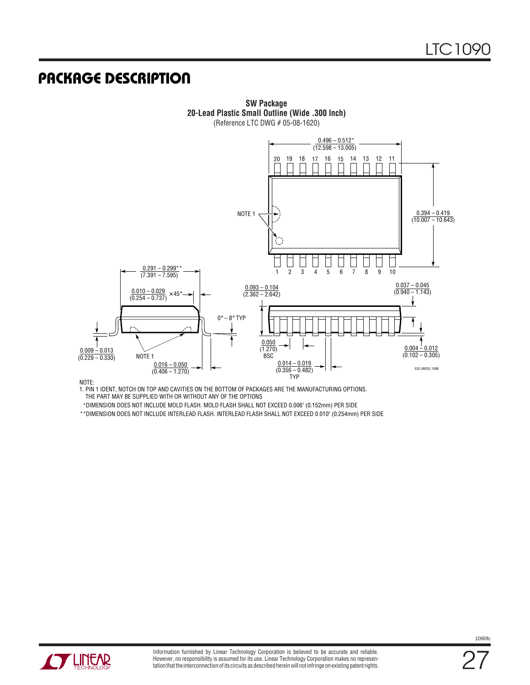### **U PACKAGE DESCRIPTIO**



**SW Package 20-Lead Plastic Small Outline (Wide .300 Inch)** (Reference LTC DWG # 05-08-1620)

NOTE:

1. PIN 1 IDENT, NOTCH ON TOP AND CAVITIES ON THE BOTTOM OF PACKAGES ARE THE MANUFACTURING OPTIONS. THE PART MAY BE SUPPLIED WITH OR WITHOUT ANY OF THE OPTIONS

\*DIMENSION DOES NOT INCLUDE MOLD FLASH. MOLD FLASH SHALL NOT EXCEED 0.006" (0.152mm) PER SIDE

DIMENSION DOES NOT INCLUDE INTERLEAD FLASH. INTERLEAD FLASH SHALL NOT EXCEED 0.010" (0.254mm) PER SIDE \*\*